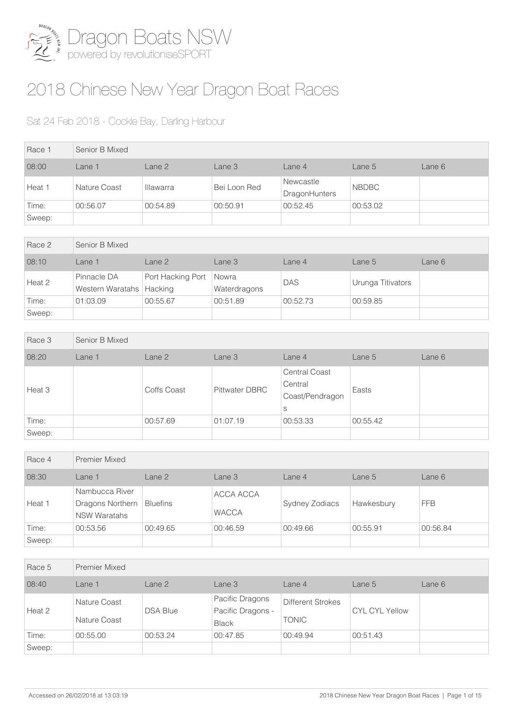

## 2018 Chinese New Year Dragon Boat Races

## Sat 24 Feb 2018 - Cockle Bay, Darling Harbour

| Race 1 | Senior B Mixed |                  |              |                                   |              |        |  |  |
|--------|----------------|------------------|--------------|-----------------------------------|--------------|--------|--|--|
| 08:00  | Lane 1         | Lane 2           | Lane 3       | Lane 4                            | Lane 5       | Lane 6 |  |  |
| Heat 1 | Nature Coast   | <b>Illawarra</b> | Bei Loon Red | Newcastle<br><b>DragonHunters</b> | <b>NBDBC</b> |        |  |  |
| Time:  | 00:56.07       | 00:54.89         | 00:50.91     | 00:52.45                          | 00:53.02     |        |  |  |
| Sweep: |                |                  |              |                                   |              |        |  |  |

| Race 2 | Senior B Mixed                            |                   |                       |            |                   |        |  |  |
|--------|-------------------------------------------|-------------------|-----------------------|------------|-------------------|--------|--|--|
| 08:10  | Lane 1                                    | Lane 2            | Lane 3                | Lane $4$   | Lane $5$          | Lane 6 |  |  |
| Heat 2 | Pinnacle DA<br>Western Waratahs   Hacking | Port Hacking Port | Nowra<br>Waterdragons | <b>DAS</b> | Urunga Titivators |        |  |  |
| Time:  | 01:03.09                                  | 00:55.67          | 00:51.89              | 00:52.73   | 00:59.85          |        |  |  |
| Sweep: |                                           |                   |                       |            |                   |        |  |  |

| Race 3 | Senior B Mixed |             |                       |                                                         |          |        |
|--------|----------------|-------------|-----------------------|---------------------------------------------------------|----------|--------|
| 08:20  | Lane 1         | Lane 2      | Lane 3                | Lane 4                                                  | Lane 5   | Lane 6 |
| Heat 3 |                | Coffs Coast | <b>Pittwater DBRC</b> | <b>Central Coast</b><br>Central<br>Coast/Pendragon<br>S | Easts    |        |
| Time:  |                | 00:57.69    | 01:07.19              | 00:53.33                                                | 00:55.42 |        |
| Sweep: |                |             |                       |                                                         |          |        |

| Race 4 | <b>Premier Mixed</b>                                      |                 |                           |                |            |            |  |
|--------|-----------------------------------------------------------|-----------------|---------------------------|----------------|------------|------------|--|
| 08:30  | Lane 1                                                    | Lane 2          | Lane 3                    | Lane 4         | Lane 5     | Lane 6     |  |
| Heat 1 | Nambucca River<br>Dragons Northern<br><b>NSW Waratahs</b> | <b>Bluefins</b> | ACCA ACCA<br><b>WACCA</b> | Sydney Zodiacs | Hawkesbury | <b>FFB</b> |  |
| Time:  | 00:53.56                                                  | 00:49.65        | 00:46.59                  | 00:49.66       | 00:55.91   | 00:56.84   |  |
| Sweep: |                                                           |                 |                           |                |            |            |  |

| Race 5 | <b>Premier Mixed</b>         |                 |                                                      |                                          |                       |        |
|--------|------------------------------|-----------------|------------------------------------------------------|------------------------------------------|-----------------------|--------|
| 08:40  | Lane 1                       | Lane 2          | Lane 3                                               | Lane 4                                   | Lane 5                | Lane 6 |
| Heat 2 | Nature Coast<br>Nature Coast | <b>DSA Blue</b> | Pacific Dragons<br>Pacific Dragons -<br><b>Black</b> | <b>Different Strokes</b><br><b>TONIC</b> | <b>CYL CYL Yellow</b> |        |
| Time:  | 00:55.00                     | 00:53.24        | 00:47.85                                             | 00:49.94                                 | 00:51.43              |        |
| Sweep: |                              |                 |                                                      |                                          |                       |        |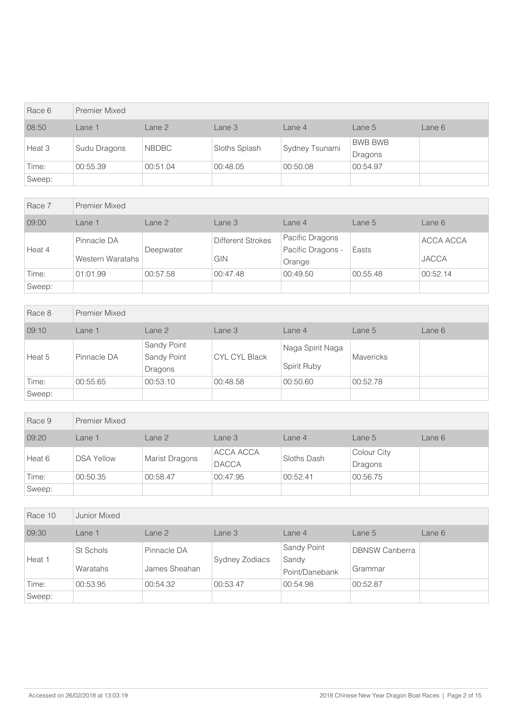| Race 6 | <b>Premier Mixed</b> |              |               |                |                           |        |
|--------|----------------------|--------------|---------------|----------------|---------------------------|--------|
| 08:50  | Lane 1               | Lane 2       | Lane 3        | Lane 4         | Lane 5                    | Lane 6 |
| Heat 3 | Sudu Dragons         | <b>NBDBC</b> | Sloths Splash | Sydney Tsunami | <b>BWB BWB</b><br>Dragons |        |
| Time:  | 00:55.39             | 00:51.04     | 00:48.05      | 00:50.08       | 00:54.97                  |        |
| Sweep: |                      |              |               |                |                           |        |

| Race 7 | <b>Premier Mixed</b>            |           |                                 |                                                |          |                           |
|--------|---------------------------------|-----------|---------------------------------|------------------------------------------------|----------|---------------------------|
| 09:00  | Lane <sub>1</sub>               | Lane 2    | Lane 3                          | Lane <sub>4</sub>                              | Lane $5$ | Lane 6                    |
| Heat 4 | Pinnacle DA<br>Western Waratahs | Deepwater | <b>Different Strokes</b><br>GIN | Pacific Dragons<br>Pacific Dragons -<br>Orange | Easts    | ACCA ACCA<br><b>JACCA</b> |
| Time:  | 01:01.99                        | 00:57.58  | 00:47.48                        | 00:49.50                                       | 00:55.48 | 00:52.14                  |
| Sweep: |                                 |           |                                 |                                                |          |                           |

| Race 8 | <b>Premier Mixed</b> |                                       |                      |                                 |                  |        |  |  |
|--------|----------------------|---------------------------------------|----------------------|---------------------------------|------------------|--------|--|--|
| 09:10  | Lane 1               | Lane 2                                | Lane 3               | Lane 4                          | Lane 5           | Lane 6 |  |  |
| Heat 5 | Pinnacle DA          | Sandy Point<br>Sandy Point<br>Dragons | <b>CYL CYL Black</b> | Naga Spirit Naga<br>Spirit Ruby | <b>Mavericks</b> |        |  |  |
| Time:  | 00:55.65             | 00:53.10                              | 00:48.58             | 00:50.60                        | 00:52.78         |        |  |  |
| Sweep: |                      |                                       |                      |                                 |                  |        |  |  |

| Race 9 | Premier Mixed     |                       |                           |             |                        |        |
|--------|-------------------|-----------------------|---------------------------|-------------|------------------------|--------|
| 09:20  | Lane 1            | Lane 2                | Lane 3                    | Lane 4      | Lane $5$               | Lane 6 |
| Heat 6 | <b>DSA Yellow</b> | <b>Marist Dragons</b> | ACCA ACCA<br><b>DACCA</b> | Sloths Dash | Colour City<br>Dragons |        |
| Time:  | 00:50.35          | 00:58.47              | 00:47.95                  | 00:52.41    | 00:56.75               |        |
| Sweep: |                   |                       |                           |             |                        |        |

| Race 10 | Junior Mixed          |                              |                |                                        |                                  |        |
|---------|-----------------------|------------------------------|----------------|----------------------------------------|----------------------------------|--------|
| 09:30   | Lane 1                | Lane 2                       | Lane 3         | Lane 4                                 | Lane 5                           | Lane 6 |
| Heat 1  | St Schols<br>Waratahs | Pinnacle DA<br>James Sheahan | Sydney Zodiacs | Sandy Point<br>Sandy<br>Point/Danebank | <b>DBNSW Canberra</b><br>Grammar |        |
| Time:   | 00:53.95              | 00:54.32                     | 00:53.47       | 00:54.98                               | 00:52.87                         |        |
| Sweep:  |                       |                              |                |                                        |                                  |        |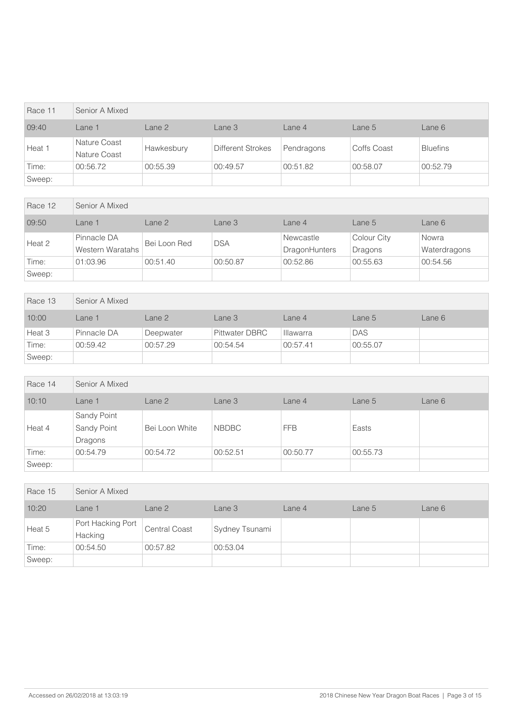| Race 11 | Senior A Mixed               |                   |                   |                   |             |                 |  |  |
|---------|------------------------------|-------------------|-------------------|-------------------|-------------|-----------------|--|--|
| 09:40   | Lane 1                       | Lane <sub>2</sub> | Lane 3            | Lane <sub>4</sub> | Lane 5      | Lane 6          |  |  |
| Heat 1  | Nature Coast<br>Nature Coast | Hawkesbury        | Different Strokes | Pendragons        | Coffs Coast | <b>Bluefins</b> |  |  |
| Time:   | 00:56.72                     | 00:55.39          | 00:49.57          | 00:51.82          | 00:58.07    | 00:52.79        |  |  |
| Sweep:  |                              |                   |                   |                   |             |                 |  |  |

| Race 12 | Senior A Mixed                  |              |            |                            |                        |                       |  |
|---------|---------------------------------|--------------|------------|----------------------------|------------------------|-----------------------|--|
| 09:50   | Lane 1                          | Lane 2       | Lane 3     | Lane 4                     | Lane 5                 | Lane 6                |  |
| Heat 2  | Pinnacle DA<br>Western Waratahs | Bei Loon Red | <b>DSA</b> | Newcastle<br>DragonHunters | Colour City<br>Dragons | Nowra<br>Waterdragons |  |
| Time:   | 01:03.96                        | 00:51.40     | 00:50.87   | 00:52.86                   | 00:55.63               | 00:54.56              |  |
| Sweep:  |                                 |              |            |                            |                        |                       |  |

| Race 13 | Senior A Mixed |           |                |                  |            |        |  |  |
|---------|----------------|-----------|----------------|------------------|------------|--------|--|--|
| 10:00   | Lane 1         | Lane 2    | Lane 3         | Lane 4           | Lane 5     | Lane 6 |  |  |
| Heat 3  | Pinnacle DA    | Deepwater | Pittwater DBRC | <b>Illawarra</b> | <b>DAS</b> |        |  |  |
| Time:   | 00:59.42       | 00:57.29  | 00:54.54       | 00:57.41         | 00:55.07   |        |  |  |
| Sweep:  |                |           |                |                  |            |        |  |  |

| Race 14 | Senior A Mixed                        |                |              |            |          |        |  |  |
|---------|---------------------------------------|----------------|--------------|------------|----------|--------|--|--|
| 10:10   | Lane 1                                | Lane 2         | Lane 3       | Lane 4     | Lane 5   | Lane 6 |  |  |
| Heat 4  | Sandy Point<br>Sandy Point<br>Dragons | Bei Loon White | <b>NBDBC</b> | <b>FFB</b> | Easts    |        |  |  |
| Time:   | 00:54.79                              | 00:54.72       | 00:52.51     | 00:50.77   | 00:55.73 |        |  |  |
| Sweep:  |                                       |                |              |            |          |        |  |  |

| Race 15 | Senior A Mixed               |                      |                |        |        |        |  |  |
|---------|------------------------------|----------------------|----------------|--------|--------|--------|--|--|
| 10:20   | Lane 1                       | Lane 2               | Lane 3         | Lane 4 | Lane 5 | Lane 6 |  |  |
| Heat 5  | Port Hacking Port<br>Hacking | <b>Central Coast</b> | Sydney Tsunami |        |        |        |  |  |
| Time:   | 00:54.50                     | 00:57.82             | 00:53.04       |        |        |        |  |  |
| Sweep:  |                              |                      |                |        |        |        |  |  |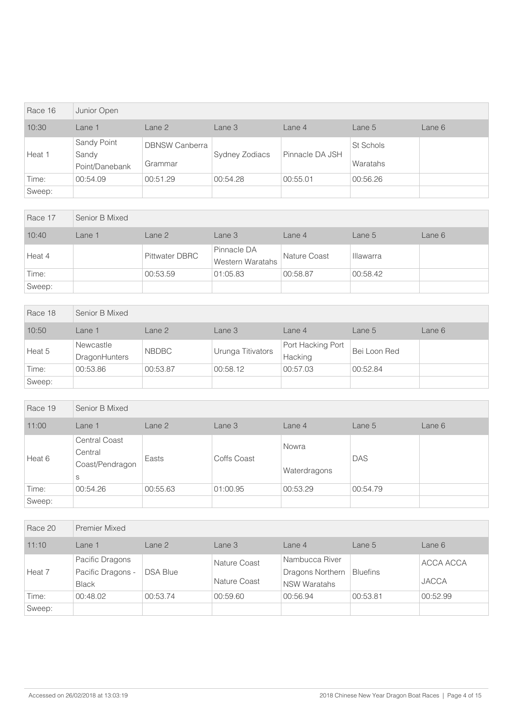| Race 16 | Junior Open                            |                                  |                       |                 |                       |        |
|---------|----------------------------------------|----------------------------------|-----------------------|-----------------|-----------------------|--------|
| 10:30   | Lane 1                                 | Lane <sub>2</sub>                | Lane 3                | Lane 4          | Lane 5                | Lane 6 |
| Heat 1  | Sandy Point<br>Sandy<br>Point/Danebank | <b>DBNSW Canberra</b><br>Grammar | <b>Sydney Zodiacs</b> | Pinnacle DA JSH | St Schols<br>Waratahs |        |
| Time:   | 00:54.09                               | 00:51.29                         | 00:54.28              | 00:55.01        | 00:56.26              |        |
| Sweep:  |                                        |                                  |                       |                 |                       |        |

| Race 17 | Senior B Mixed |                       |                                 |              |                  |        |
|---------|----------------|-----------------------|---------------------------------|--------------|------------------|--------|
| 10:40   | Lane 1         | Lane 2                | Lane 3                          | Lane 4       | Lane 5           | Lane 6 |
| Heat 4  |                | <b>Pittwater DBRC</b> | Pinnacle DA<br>Western Waratahs | Nature Coast | <b>Illawarra</b> |        |
| Time:   |                | 00:53.59              | 01:05.83                        | 00:58.87     | 00:58.42         |        |
| Sweep:  |                |                       |                                 |              |                  |        |

| Race 18 | Senior B Mixed                    |              |                   |                              |              |        |
|---------|-----------------------------------|--------------|-------------------|------------------------------|--------------|--------|
| 10:50   | Lane 1                            | Lane 2       | Lane 3            | Lane 4                       | Lane 5       | Lane 6 |
| Heat 5  | Newcastle<br><b>DragonHunters</b> | <b>NBDBC</b> | Urunga Titivators | Port Hacking Port<br>Hacking | Bei Loon Red |        |
| Time:   | 00:53.86                          | 00:53.87     | 00:58.12          | 00:57.03                     | 00:52.84     |        |
| Sweep:  |                                   |              |                   |                              |              |        |

| Race 19 | Senior B Mixed                                          |          |             |                       |            |        |  |  |
|---------|---------------------------------------------------------|----------|-------------|-----------------------|------------|--------|--|--|
| 11:00   | Lane 1                                                  | Lane 2   | Lane 3      | Lane 4                | Lane $5$   | Lane 6 |  |  |
| Heat 6  | <b>Central Coast</b><br>Central<br>Coast/Pendragon<br>S | Easts    | Coffs Coast | Nowra<br>Waterdragons | <b>DAS</b> |        |  |  |
| Time:   | 00:54.26                                                | 00:55.63 | 01:00.95    | 00:53.29              | 00:54.79   |        |  |  |
| Sweep:  |                                                         |          |             |                       |            |        |  |  |

| Race 20 | <b>Premier Mixed</b>                                 |                   |                              |                                                           |                 |                           |
|---------|------------------------------------------------------|-------------------|------------------------------|-----------------------------------------------------------|-----------------|---------------------------|
| 11:10   | Lane 1                                               | Lane <sub>2</sub> | Lane 3                       | Lane 4                                                    | Lane 5          | Lane 6                    |
| Heat 7  | Pacific Dragons<br>Pacific Dragons -<br><b>Black</b> | <b>DSA Blue</b>   | Nature Coast<br>Nature Coast | Nambucca River<br>Dragons Northern<br><b>NSW Waratahs</b> | <b>Bluefins</b> | ACCA ACCA<br><b>JACCA</b> |
| Time:   | 00:48.02                                             | 00:53.74          | 00:59.60                     | 00:56.94                                                  | 00:53.81        | 00:52.99                  |
| Sweep:  |                                                      |                   |                              |                                                           |                 |                           |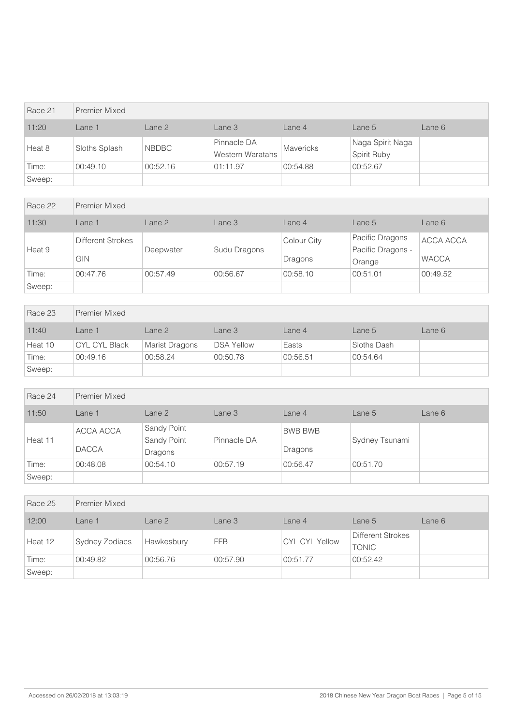| Race 21 | <b>Premier Mixed</b> |              |                                 |                  |                                 |        |
|---------|----------------------|--------------|---------------------------------|------------------|---------------------------------|--------|
| 11:20   | Lane 1               | Lane 2       | Lane 3                          | Lane 4           | Lane 5                          | Lane 6 |
| Heat 8  | Sloths Splash        | <b>NBDBC</b> | Pinnacle DA<br>Western Waratahs | <b>Mavericks</b> | Naga Spirit Naga<br>Spirit Ruby |        |
| Time:   | 00:49.10             | 00:52.16     | 01:11.97                        | 00:54.88         | 00:52.67                        |        |
| Sweep:  |                      |              |                                 |                  |                                 |        |

| Race 22 | <b>Premier Mixed</b>                   |                   |              |                               |                                                |                           |
|---------|----------------------------------------|-------------------|--------------|-------------------------------|------------------------------------------------|---------------------------|
| 11:30   | Lane 1                                 | Lane <sub>2</sub> | Lane 3       | Lane 4                        | Lane 5                                         | Lane 6                    |
| Heat 9  | <b>Different Strokes</b><br><b>GIN</b> | Deepwater         | Sudu Dragons | <b>Colour City</b><br>Dragons | Pacific Dragons<br>Pacific Dragons -<br>Orange | ACCA ACCA<br><b>WACCA</b> |
| Time:   | 00:47.76                               | 00:57.49          | 00:56.67     | 00:58.10                      | 00:51.01                                       | 00:49.52                  |
| Sweep:  |                                        |                   |              |                               |                                                |                           |

| Race 23 | Premier Mixed |                       |                   |          |             |        |
|---------|---------------|-----------------------|-------------------|----------|-------------|--------|
| 11:40   | Lane 1        | Lane 2                | Lane 3            | Lane 4   | Lane 5      | Lane 6 |
| Heat 10 | CYL CYL Black | <b>Marist Dragons</b> | <b>DSA Yellow</b> | Easts    | Sloths Dash |        |
| Time:   | 00:49.16      | 00:58.24              | 00:50.78          | 00:56.51 | 00:54.64    |        |
| Sweep:  |               |                       |                   |          |             |        |

| Race 24 | Premier Mixed             |                                       |             |                           |                |        |
|---------|---------------------------|---------------------------------------|-------------|---------------------------|----------------|--------|
| 11:50   | Lane 1                    | Lane 2                                | Lane 3      | Lane 4                    | Lane 5         | Lane 6 |
| Heat 11 | ACCA ACCA<br><b>DACCA</b> | Sandy Point<br>Sandy Point<br>Dragons | Pinnacle DA | <b>BWB BWB</b><br>Dragons | Sydney Tsunami |        |
| Time:   | 00:48.08                  | 00:54.10                              | 00:57.19    | 00:56.47                  | 00:51.70       |        |
| Sweep:  |                           |                                       |             |                           |                |        |

| Race 25 | <b>Premier Mixed</b> |            |            |                       |                                          |        |
|---------|----------------------|------------|------------|-----------------------|------------------------------------------|--------|
| 12:00   | Lane 1               | Lane 2     | Lane 3     | Lane 4                | Lane 5                                   | Lane 6 |
| Heat 12 | Sydney Zodiacs       | Hawkesbury | <b>FFB</b> | <b>CYL CYL Yellow</b> | <b>Different Strokes</b><br><b>TONIC</b> |        |
| Time:   | 00:49.82             | 00:56.76   | 00:57.90   | 00:51.77              | 00:52.42                                 |        |
| Sweep:  |                      |            |            |                       |                                          |        |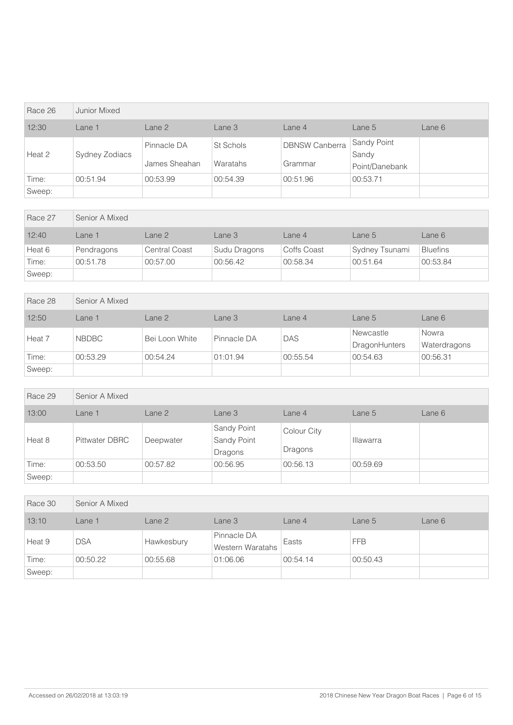| Race 26 | Junior Mixed   |                              |                       |                                  |                                        |        |
|---------|----------------|------------------------------|-----------------------|----------------------------------|----------------------------------------|--------|
| 12:30   | Lane 1         | Lane 2                       | Lane 3                | Lane 4                           | Lane 5                                 | Lane 6 |
| Heat 2  | Sydney Zodiacs | Pinnacle DA<br>James Sheahan | St Schols<br>Waratahs | <b>DBNSW Canberra</b><br>Grammar | Sandy Point<br>Sandy<br>Point/Danebank |        |
| Time:   | 00:51.94       | 00:53.99                     | 00:54.39              | 00:51.96                         | 00:53.71                               |        |
| Sweep:  |                |                              |                       |                                  |                                        |        |

| Race 27 | Senior A Mixed |                      |              |             |                |                 |  |  |
|---------|----------------|----------------------|--------------|-------------|----------------|-----------------|--|--|
| 12:40   | Lane 1         | Lane 2               | Lane 3       | Lane 4      | Lane 5         | Lane 6          |  |  |
| Heat 6  | Pendragons     | <b>Central Coast</b> | Sudu Dragons | Coffs Coast | Sydney Tsunami | <b>Bluefins</b> |  |  |
| Time:   | 00:51.78       | 00:57.00             | 00:56.42     | 00:58.34    | 00:51.64       | 00:53.84        |  |  |
| Sweep:  |                |                      |              |             |                |                 |  |  |

| Race 28 | Senior A Mixed |                |             |          |                                   |                       |  |  |
|---------|----------------|----------------|-------------|----------|-----------------------------------|-----------------------|--|--|
| 12:50   | Lane 1         | Lane 2         | Lane 3      | Lane 4   | Lane 5                            | Lane 6                |  |  |
| Heat 7  | <b>NBDBC</b>   | Bei Loon White | Pinnacle DA | DAS      | Newcastle<br><b>DragonHunters</b> | Nowra<br>Waterdragons |  |  |
| Time:   | 00:53.29       | 00:54.24       | 01:01.94    | 00:55.54 | 00:54.63                          | 00:56.31              |  |  |
| Sweep:  |                |                |             |          |                                   |                       |  |  |

| Race 29 | Senior A Mixed        |           |                                       |                        |                  |        |
|---------|-----------------------|-----------|---------------------------------------|------------------------|------------------|--------|
| 13:00   | Lane 1                | Lane 2    | Lane 3                                | Lane 4                 | Lane 5           | Lane 6 |
| Heat 8  | <b>Pittwater DBRC</b> | Deepwater | Sandy Point<br>Sandy Point<br>Dragons | Colour City<br>Dragons | <b>Illawarra</b> |        |
| Time:   | 00:53.50              | 00:57.82  | 00:56.95                              | 00:56.13               | 00:59.69         |        |
| Sweep:  |                       |           |                                       |                        |                  |        |

| Race 30 | Senior A Mixed |            |                                 |          |            |        |  |
|---------|----------------|------------|---------------------------------|----------|------------|--------|--|
| 13:10   | Lane 1         | Lane 2     | Lane 3                          | Lane 4   | Lane 5     | Lane 6 |  |
| Heat 9  | <b>DSA</b>     | Hawkesbury | Pinnacle DA<br>Western Waratahs | Easts    | <b>FFB</b> |        |  |
| Time:   | 00:50.22       | 00:55.68   | 01:06.06                        | 00:54.14 | 00:50.43   |        |  |
| Sweep:  |                |            |                                 |          |            |        |  |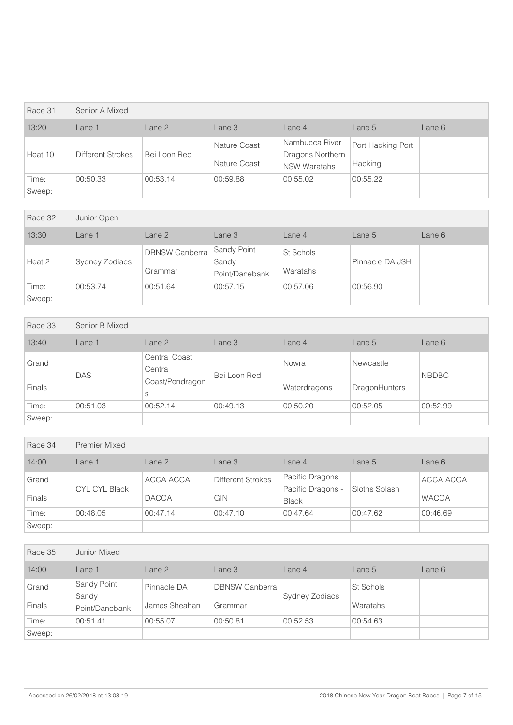| Race 31 | Senior A Mixed           |              |                              |                                                           |                              |        |
|---------|--------------------------|--------------|------------------------------|-----------------------------------------------------------|------------------------------|--------|
| 13:20   | Lane 1                   | Lane 2       | Lane 3                       | Lane 4                                                    | Lane 5                       | Lane 6 |
| Heat 10 | <b>Different Strokes</b> | Bei Loon Red | Nature Coast<br>Nature Coast | Nambucca River<br>Dragons Northern<br><b>NSW Waratahs</b> | Port Hacking Port<br>Hacking |        |
| Time:   | 00:50.33                 | 00:53.14     | 00:59.88                     | 00:55.02                                                  | 00:55.22                     |        |
| Sweep:  |                          |              |                              |                                                           |                              |        |

| Race 32 | Junior Open    |                                  |                                               |                       |                 |        |
|---------|----------------|----------------------------------|-----------------------------------------------|-----------------------|-----------------|--------|
| 13:30   | Lane 1         | Lane 2                           | Lane 3                                        | Lane 4                | Lane 5          | Lane 6 |
| Heat 2  | Sydney Zodiacs | <b>DBNSW Canberra</b><br>Grammar | <b>Sandy Point</b><br>Sandy<br>Point/Danebank | St Schols<br>Waratahs | Pinnacle DA JSH |        |
| Time:   | 00:53.74       | 00:51.64                         | 00:57.15                                      | 00:57.06              | 00:56.90        |        |
| Sweep:  |                |                                  |                                               |                       |                 |        |

| Race 33                | Senior B Mixed |                                                         |              |                       |                                   |              |
|------------------------|----------------|---------------------------------------------------------|--------------|-----------------------|-----------------------------------|--------------|
| 13:40                  | Lane 1         | Lane 2                                                  | Lane 3       | Lane $4$              | Lane 5                            | Lane 6       |
| Grand<br><b>Finals</b> | <b>DAS</b>     | <b>Central Coast</b><br>Central<br>Coast/Pendragon<br>S | Bei Loon Red | Nowra<br>Waterdragons | Newcastle<br><b>DragonHunters</b> | <b>NBDBC</b> |
| Time:                  | 00:51.03       | 00:52.14                                                | 00:49.13     | 00:50.20              | 00:52.05                          | 00:52.99     |
| Sweep:                 |                |                                                         |              |                       |                                   |              |

| Race 34                | <b>Premier Mixed</b> |                           |                                 |                                                      |               |                           |
|------------------------|----------------------|---------------------------|---------------------------------|------------------------------------------------------|---------------|---------------------------|
| 14:00                  | Lane 1               | Lane 2                    | Lane 3                          | Lane 4                                               | Lane 5        | Lane 6                    |
| Grand<br><b>Finals</b> | <b>CYL CYL Black</b> | ACCA ACCA<br><b>DACCA</b> | <b>Different Strokes</b><br>GIN | Pacific Dragons<br>Pacific Dragons -<br><b>Black</b> | Sloths Splash | ACCA ACCA<br><b>WACCA</b> |
| Time:                  | 00:48.05             | 00:47.14                  | 00:47.10                        | 00:47.64                                             | 00:47.62      | 00:46.69                  |
| Sweep:                 |                      |                           |                                 |                                                      |               |                           |

| Race 35                | Junior Mixed                           |                              |                                  |                |                       |        |
|------------------------|----------------------------------------|------------------------------|----------------------------------|----------------|-----------------------|--------|
| 14:00                  | Lane 1                                 | Lane 2                       | Lane 3                           | Lane 4         | Lane 5                | Lane 6 |
| Grand<br><b>Finals</b> | Sandy Point<br>Sandy<br>Point/Danebank | Pinnacle DA<br>James Sheahan | <b>DBNSW Canberra</b><br>Grammar | Sydney Zodiacs | St Schols<br>Waratahs |        |
| Time:                  | 00:51.41                               | 00:55.07                     | 00:50.81                         | 00:52.53       | 00:54.63              |        |
| Sweep:                 |                                        |                              |                                  |                |                       |        |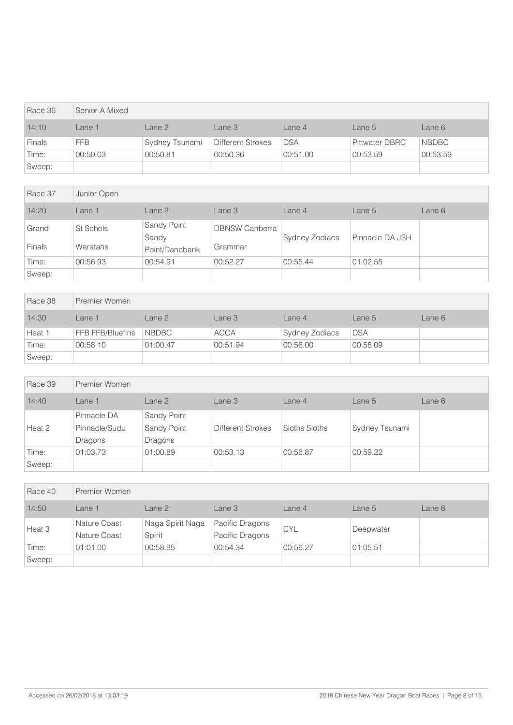| Race 36       | Senior A Mixed |                |                   |            |                       |              |  |  |
|---------------|----------------|----------------|-------------------|------------|-----------------------|--------------|--|--|
| 14:10         | Lane 1         | Lane 2         | Lane 3            | Lane 4     | Lane 5                | Lane 6       |  |  |
| <b>Finals</b> | <b>FFB</b>     | Sydney Tsunami | Different Strokes | <b>DSA</b> | <b>Pittwater DBRC</b> | <b>NBDBC</b> |  |  |
| Time:         | 00:50.03       | 00:50.81       | 00:50.36          | 00:51.00   | 00:53.59              | 00:53.59     |  |  |
| Sweep:        |                |                |                   |            |                       |              |  |  |

| Race 37                | Junior Open           |                                        |                                  |                |                 |        |
|------------------------|-----------------------|----------------------------------------|----------------------------------|----------------|-----------------|--------|
| 14:20                  | Lane 1                | Lane <sub>2</sub>                      | Lane 3                           | Lane 4         | Lane 5          | Lane 6 |
| Grand<br><b>Finals</b> | St Schols<br>Waratahs | Sandy Point<br>Sandy<br>Point/Danebank | <b>DBNSW Canberra</b><br>Grammar | Sydney Zodiacs | Pinnacle DA JSH |        |
| Time:                  | 00:56.93              | 00:54.91                               | 00:52.27                         | 00:55.44       | 01:02.55        |        |
| Sweep:                 |                       |                                        |                                  |                |                 |        |

| Race 38 | Premier Women    |              |             |                |            |        |  |  |
|---------|------------------|--------------|-------------|----------------|------------|--------|--|--|
| 14:30   | Lane 1           | Lane 2       | Lane 3      | Lane 4         | Lane 5     | Lane 6 |  |  |
| Heat 1  | FFB FFB/Bluefins | <b>NBDBC</b> | <b>ACCA</b> | Sydney Zodiacs | <b>DSA</b> |        |  |  |
| Time:   | 00:58.10         | 01:00.47     | 00:51.94    | 00:56.00       | 00:58.09   |        |  |  |
| Sweep:  |                  |              |             |                |            |        |  |  |

| Race 39 | Premier Women                           |                                       |                   |               |                |        |  |  |
|---------|-----------------------------------------|---------------------------------------|-------------------|---------------|----------------|--------|--|--|
| 14:40   | Lane 1                                  | Lane 2                                | Lane 3            | Lane 4        | Lane 5         | Lane 6 |  |  |
| Heat 2  | Pinnacle DA<br>Pinnacle/Sudu<br>Dragons | Sandy Point<br>Sandy Point<br>Dragons | Different Strokes | Sloths Sloths | Sydney Tsunami |        |  |  |
| Time:   | 01:03.73                                | 01:00.89                              | 00:53.13          | 00:56.87      | 00:59.22       |        |  |  |
| Sweep:  |                                         |                                       |                   |               |                |        |  |  |

| Race 40 | Premier Women                |                            |                                    |            |           |        |  |  |
|---------|------------------------------|----------------------------|------------------------------------|------------|-----------|--------|--|--|
| 14:50   | Lane 1                       | Lane <sub>2</sub>          | Lane 3                             | Lane 4     | Lane 5    | Lane 6 |  |  |
| Heat 3  | Nature Coast<br>Nature Coast | Naga Spirit Naga<br>Spirit | Pacific Dragons<br>Pacific Dragons | <b>CYL</b> | Deepwater |        |  |  |
| Time:   | 01:01.00                     | 00:58.95                   | 00:54.34                           | 00:56.27   | 01:05.51  |        |  |  |
| Sweep:  |                              |                            |                                    |            |           |        |  |  |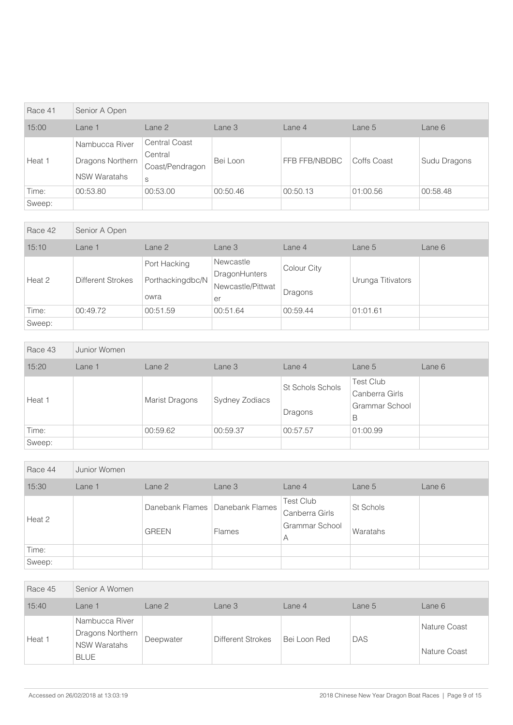| Race 41 | Senior A Open                                             |                                                         |          |               |             |              |  |  |
|---------|-----------------------------------------------------------|---------------------------------------------------------|----------|---------------|-------------|--------------|--|--|
| 15:00   | Lane 1                                                    | Lane 2                                                  | Lane 3   | Lane 4        | Lane 5      | Lane 6       |  |  |
| Heat 1  | Nambucca River<br>Dragons Northern<br><b>NSW Waratahs</b> | <b>Central Coast</b><br>Central<br>Coast/Pendragon<br>S | Bei Loon | FFB FFB/NBDBC | Coffs Coast | Sudu Dragons |  |  |
| Time:   | 00:53.80                                                  | 00:53.00                                                | 00:50.46 | 00:50.13      | 01:00.56    | 00:58.48     |  |  |
| Sweep:  |                                                           |                                                         |          |               |             |              |  |  |

| Race 42 | Senior A Open            |                                          |                                                       |                        |                   |          |  |  |
|---------|--------------------------|------------------------------------------|-------------------------------------------------------|------------------------|-------------------|----------|--|--|
| 15:10   | Lane 1                   | Lane 2                                   | Lane 3                                                | Lane 4                 | Lane 5            | Lane $6$ |  |  |
| Heat 2  | <b>Different Strokes</b> | Port Hacking<br>Porthackingdbc/N<br>owra | Newcastle<br>DragonHunters<br>Newcastle/Pittwat<br>er | Colour City<br>Dragons | Urunga Titivators |          |  |  |
| Time:   | 00:49.72                 | 00:51.59                                 | 00:51.64                                              | 00:59.44               | 01:01.61          |          |  |  |
| Sweep:  |                          |                                          |                                                       |                        |                   |          |  |  |

| Race 43 | Junior Women |                       |                |                             |                                                           |        |
|---------|--------------|-----------------------|----------------|-----------------------------|-----------------------------------------------------------|--------|
| 15:20   | Lane 1       | Lane 2                | Lane 3         | Lane 4                      | Lane 5                                                    | Lane 6 |
| Heat 1  |              | <b>Marist Dragons</b> | Sydney Zodiacs | St Schols Schols<br>Dragons | <b>Test Club</b><br>Canberra Girls<br>Grammar School<br>B |        |
| Time:   |              | 00:59.62              | 00:59.37       | 00:57.57                    | 01:00.99                                                  |        |
| Sweep:  |              |                       |                |                             |                                                           |        |

| Race 44 | Junior Women |              |                                                    |                                                           |                       |        |
|---------|--------------|--------------|----------------------------------------------------|-----------------------------------------------------------|-----------------------|--------|
| 15:30   | Lane 1       | Lane 2       | Lane 3                                             | Lane 4                                                    | Lane 5                | Lane 6 |
| Heat 2  |              | <b>GREEN</b> | Danebank Flames   Danebank Flames<br><b>Flames</b> | <b>Test Club</b><br>Canberra Girls<br>Grammar School<br>Α | St Schols<br>Waratahs |        |
| Time:   |              |              |                                                    |                                                           |                       |        |
| Sweep:  |              |              |                                                    |                                                           |                       |        |

| Race 45 | Senior A Women                                                    |                   |                   |              |            |                              |
|---------|-------------------------------------------------------------------|-------------------|-------------------|--------------|------------|------------------------------|
| 15:40   | Lane 1                                                            | Lane <sub>2</sub> | Lane 3            | Lane $4$     | Lane $51$  | Lane 6                       |
| Heat 1  | Nambucca River<br>Dragons Northern<br>NSW Waratahs<br><b>BLUE</b> | Deepwater         | Different Strokes | Bei Loon Red | <b>DAS</b> | Nature Coast<br>Nature Coast |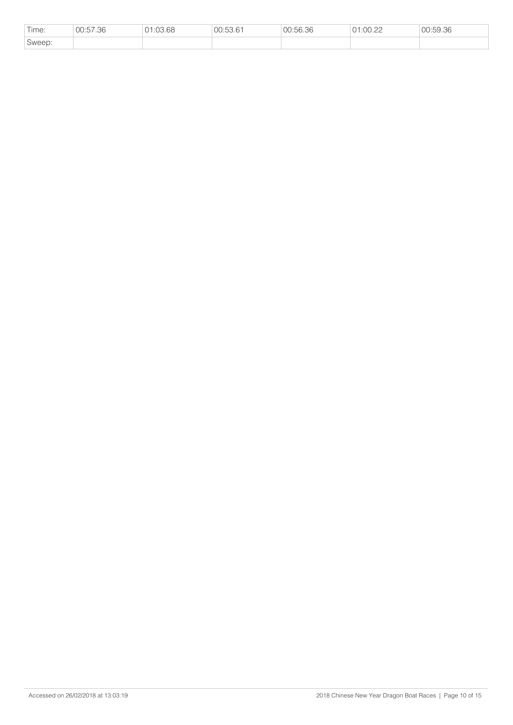| Time:  | 00:57.36 | 01:03.68 | 00:53.61 | 00:56.36 | 01:00.22 | 00:59.36 |
|--------|----------|----------|----------|----------|----------|----------|
| Sweep: |          |          |          |          |          |          |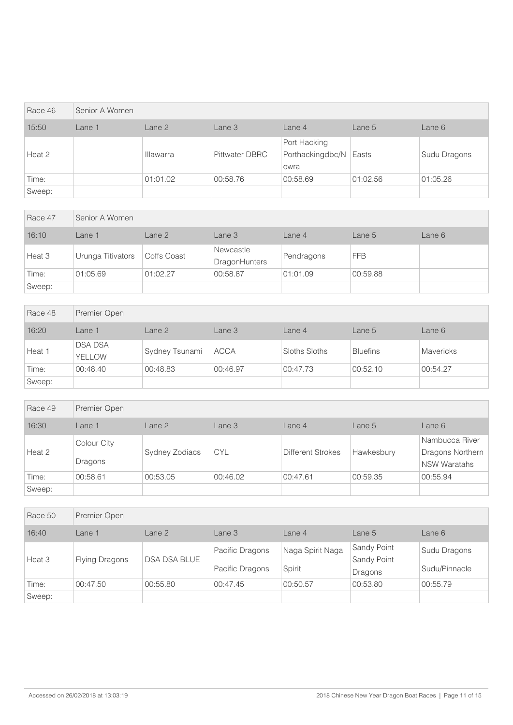| Race 46 | Senior A Women |                   |                       |                                          |          |              |
|---------|----------------|-------------------|-----------------------|------------------------------------------|----------|--------------|
| 15:50   | Lane 1         | Lane <sub>2</sub> | Lane 3                | Lane $4$                                 | Lane 5   | Lane 6       |
| Heat 2  |                | <b>Illawarra</b>  | <b>Pittwater DBRC</b> | Port Hacking<br>Porthackingdbc/N<br>owra | Easts    | Sudu Dragons |
| Time:   |                | 01:01.02          | 00:58.76              | 00:58.69                                 | 01:02.56 | 01:05.26     |
| Sweep:  |                |                   |                       |                                          |          |              |

| Race 47 | Senior A Women    |             |                                   |            |            |        |  |  |
|---------|-------------------|-------------|-----------------------------------|------------|------------|--------|--|--|
| 16:10   | Lane 1            | Lane 2      | Lane 3                            | Lane 4     | Lane 5     | Lane 6 |  |  |
| Heat 3  | Urunga Titivators | Coffs Coast | Newcastle<br><b>DragonHunters</b> | Pendragons | <b>FFB</b> |        |  |  |
| Time:   | 01:05.69          | 01:02.27    | 00:58.87                          | 01:01.09   | 00:59.88   |        |  |  |
| Sweep:  |                   |             |                                   |            |            |        |  |  |

| Race 48 | Premier Open             |                   |             |               |                 |                  |
|---------|--------------------------|-------------------|-------------|---------------|-----------------|------------------|
| 16:20   | Lane 1                   | Lane <sub>2</sub> | Lane 3      | Lane 4        | Lane $5$        | Lane 6           |
| Heat 1  | <b>DSA DSA</b><br>YELLOW | Sydney Tsunami    | <b>ACCA</b> | Sloths Sloths | <b>Bluefins</b> | <b>Mavericks</b> |
| Time:   | 00:48.40                 | 00:48.83          | 00:46.97    | 00:47.73      | 00:52.10        | 00:54.27         |
| Sweep:  |                          |                   |             |               |                 |                  |

| Race 49 | Premier Open           |                   |                   |                          |            |                                                           |
|---------|------------------------|-------------------|-------------------|--------------------------|------------|-----------------------------------------------------------|
| 16:30   | Lane 1                 | Lane <sub>2</sub> | Lane <sub>3</sub> | Lane $4$                 | Lane 5     | Lane 6                                                    |
| Heat 2  | Colour City<br>Dragons | Sydney Zodiacs    | <b>CYL</b>        | <b>Different Strokes</b> | Hawkesbury | Nambucca River<br>Dragons Northern<br><b>NSW Waratahs</b> |
| Time:   | 00:58.61               | 00:53.05          | 00:46.02          | 00:47.61                 | 00:59.35   | 00:55.94                                                  |
| Sweep:  |                        |                   |                   |                          |            |                                                           |

| Race 50 | Premier Open          |                     |                                    |                            |                                              |                               |
|---------|-----------------------|---------------------|------------------------------------|----------------------------|----------------------------------------------|-------------------------------|
| 16:40   | Lane 1                | Lane <sub>2</sub>   | Lane 3                             | Lane 4                     | Lane 5                                       | Lane 6                        |
| Heat 3  | <b>Flying Dragons</b> | <b>DSA DSA BLUE</b> | Pacific Dragons<br>Pacific Dragons | Naga Spirit Naga<br>Spirit | <b>Sandy Point</b><br>Sandy Point<br>Dragons | Sudu Dragons<br>Sudu/Pinnacle |
| Time:   | 00:47.50              | 00:55.80            | 00:47.45                           | 00:50.57                   | 00:53.80                                     | 00:55.79                      |
| Sweep:  |                       |                     |                                    |                            |                                              |                               |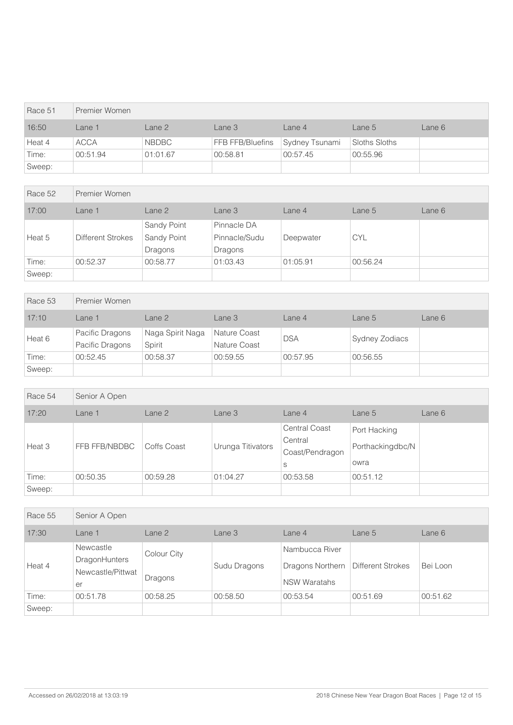| Race 51 | Premier Women |              |                  |                |               |        |
|---------|---------------|--------------|------------------|----------------|---------------|--------|
| 16:50   | Lane 1        | Lane 2       | Lane 3           | Lane 4         | Lane 5        | Lane 6 |
| Heat 4  | <b>ACCA</b>   | <b>NBDBC</b> | FFB FFB/Bluefins | Sydney Tsunami | Sloths Sloths |        |
| Time:   | 00:51.94      | 01:01.67     | 00:58.81         | 00:57.45       | 00:55.96      |        |
| Sweep:  |               |              |                  |                |               |        |

| Race 52 | Premier Women            |             |               |           |            |        |
|---------|--------------------------|-------------|---------------|-----------|------------|--------|
| 17:00   | Lane 1                   | Lane 2      | Lane 3        | Lane 4    | Lane 5     | Lane 6 |
|         |                          | Sandy Point | Pinnacle DA   |           |            |        |
| Heat 5  | <b>Different Strokes</b> | Sandy Point | Pinnacle/Sudu | Deepwater | <b>CYL</b> |        |
|         |                          | Dragons     | Dragons       |           |            |        |
| Time:   | 00:52.37                 | 00:58.77    | 01:03.43      | 01:05.91  | 00:56.24   |        |
| Sweep:  |                          |             |               |           |            |        |

| Race 53 | Premier Women                      |                            |                              |            |                |        |
|---------|------------------------------------|----------------------------|------------------------------|------------|----------------|--------|
| 17:10   | Lane 1                             | Lane <sub>2</sub>          | Lane 3                       | Lane 4     | Lane 5         | Lane 6 |
| Heat 6  | Pacific Dragons<br>Pacific Dragons | Naga Spirit Naga<br>Spirit | Nature Coast<br>Nature Coast | <b>DSA</b> | Sydney Zodiacs |        |
| Time:   | 00:52.45                           | 00:58.37                   | 00:59.55                     | 00:57.95   | 00:56.55       |        |
| Sweep:  |                                    |                            |                              |            |                |        |

| Race 54 | Senior A Open |             |                   |                                                         |                                          |        |
|---------|---------------|-------------|-------------------|---------------------------------------------------------|------------------------------------------|--------|
| 17:20   | Lane 1        | Lane 2      | Lane 3            | Lane 4                                                  | Lane 5                                   | Lane 6 |
| Heat 3  | FFB FFB/NBDBC | Coffs Coast | Urunga Titivators | <b>Central Coast</b><br>Central<br>Coast/Pendragon<br>S | Port Hacking<br>Porthackingdbc/N<br>owra |        |
| Time:   | 00:50.35      | 00:59.28    | 01:04.27          | 00:53.58                                                | 00:51.12                                 |        |
| Sweep:  |               |             |                   |                                                         |                                          |        |

| Race 55 | Senior A Open                                         |                        |              |                                                           |                   |          |
|---------|-------------------------------------------------------|------------------------|--------------|-----------------------------------------------------------|-------------------|----------|
| 17:30   | Lane 1                                                | Lane 2                 | Lane 3       | Lane 4                                                    | Lane 5            | Lane 6   |
| Heat 4  | Newcastle<br>DragonHunters<br>Newcastle/Pittwat<br>er | Colour City<br>Dragons | Sudu Dragons | Nambucca River<br>Dragons Northern<br><b>NSW Waratahs</b> | Different Strokes | Bei Loon |
| Time:   | 00:51.78                                              | 00:58.25               | 00:58.50     | 00:53.54                                                  | 00:51.69          | 00:51.62 |
| Sweep:  |                                                       |                        |              |                                                           |                   |          |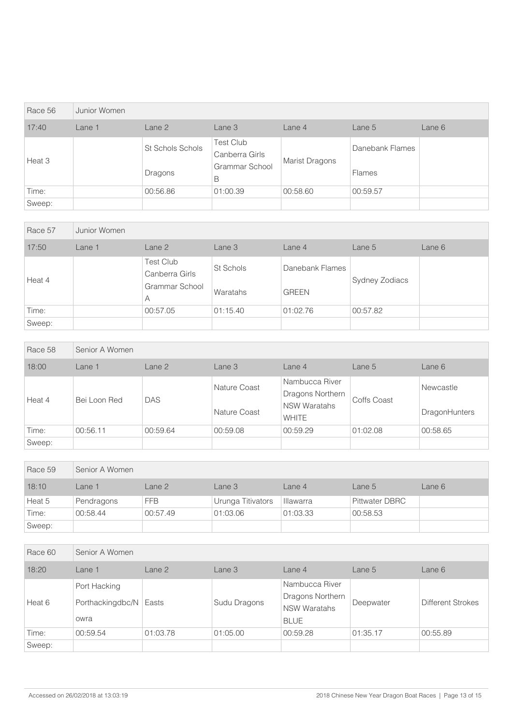| Race 56 | Junior Women |                             |                                                           |                       |                                  |        |
|---------|--------------|-----------------------------|-----------------------------------------------------------|-----------------------|----------------------------------|--------|
| 17:40   | Lane 1       | Lane 2                      | Lane 3                                                    | Lane 4                | Lane 5                           | Lane 6 |
| Heat 3  |              | St Schols Schols<br>Dragons | <b>Test Club</b><br>Canberra Girls<br>Grammar School<br>B | <b>Marist Dragons</b> | Danebank Flames<br><b>Flames</b> |        |
| Time:   |              | 00:56.86                    | 01:00.39                                                  | 00:58.60              | 00:59.57                         |        |
| Sweep:  |              |                             |                                                           |                       |                                  |        |

| Race 57 | Junior Women |                                                    |                       |                                 |                |        |
|---------|--------------|----------------------------------------------------|-----------------------|---------------------------------|----------------|--------|
| 17:50   | Lane 1       | Lane 2                                             | Lane 3                | Lane 4                          | Lane 5         | Lane 6 |
| Heat 4  |              | Test Club<br>Canberra Girls<br>Grammar School<br>A | St Schols<br>Waratahs | Danebank Flames<br><b>GREEN</b> | Sydney Zodiacs |        |
| Time:   |              | 00:57.05                                           | 01:15.40              | 01:02.76                        | 00:57.82       |        |
| Sweep:  |              |                                                    |                       |                                 |                |        |

| Race 58 | Senior A Women |            |                              |                                                                           |             |                            |
|---------|----------------|------------|------------------------------|---------------------------------------------------------------------------|-------------|----------------------------|
| 18:00   | Lane 1         | Lane 2     | Lane 3                       | Lane 4                                                                    | Lane $5$    | Lane 6                     |
| Heat 4  | Bei Loon Red   | <b>DAS</b> | Nature Coast<br>Nature Coast | Nambucca River<br>Dragons Northern<br><b>NSW Waratahs</b><br><b>WHITE</b> | Coffs Coast | Newcastle<br>DragonHunters |
| Time:   | 00:56.11       | 00:59.64   | 00:59.08                     | 00:59.29                                                                  | 01:02.08    | 00:58.65                   |
| Sweep:  |                |            |                              |                                                                           |             |                            |

| Race 59 | Senior A Women |            |                   |           |                       |        |  |  |
|---------|----------------|------------|-------------------|-----------|-----------------------|--------|--|--|
| 18:10   | _ane 1         | Lane 2     | Lane 3            | Lane 4    | Lane 5                | Lane 6 |  |  |
| Heat 5  | Pendragons     | <b>FFB</b> | Urunga Titivators | Illawarra | <b>Pittwater DBRC</b> |        |  |  |
| Time:   | 00:58.44       | 00:57.49   | 01:03.06          | 01:03.33  | 00:58.53              |        |  |  |
| Sweep:  |                |            |                   |           |                       |        |  |  |

| Race 60 | Senior A Women                           |          |              |                                                                          |           |                   |  |
|---------|------------------------------------------|----------|--------------|--------------------------------------------------------------------------|-----------|-------------------|--|
| 18:20   | Lane 1                                   | Lane 2   | Lane 3       | Lane 4                                                                   | Lane 5    | Lane 6            |  |
| Heat 6  | Port Hacking<br>Porthackingdbc/N<br>owra | Easts    | Sudu Dragons | Nambucca River<br>Dragons Northern<br><b>NSW Waratahs</b><br><b>BLUE</b> | Deepwater | Different Strokes |  |
| Time:   | 00:59.54                                 | 01:03.78 | 01:05.00     | 00:59.28                                                                 | 01:35.17  | 00:55.89          |  |
| Sweep:  |                                          |          |              |                                                                          |           |                   |  |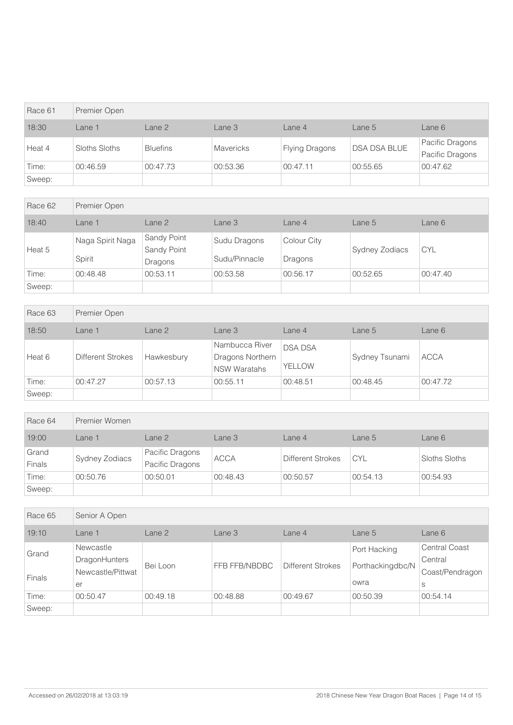| Race 61 | Premier Open  |                   |           |                       |                     |                                    |  |  |
|---------|---------------|-------------------|-----------|-----------------------|---------------------|------------------------------------|--|--|
| 18:30   | Lane 1        | Lane <sub>2</sub> | Lane 3    | Lane 4                | Lane 5              | Lane 6                             |  |  |
| Heat 4  | Sloths Sloths | <b>Bluefins</b>   | Mavericks | <b>Flying Dragons</b> | <b>DSA DSA BLUE</b> | Pacific Dragons<br>Pacific Dragons |  |  |
| Time:   | 00:46.59      | 00:47.73          | 00:53.36  | 00:47.11              | 00:55.65            | 00:47.62                           |  |  |
| Sweep:  |               |                   |           |                       |                     |                                    |  |  |

| Race 62 | Premier Open               |                                       |                               |                        |                |            |  |
|---------|----------------------------|---------------------------------------|-------------------------------|------------------------|----------------|------------|--|
| 18:40   | Lane $1$                   | Lane 2                                | Lane 3                        | Lane 4                 | Lane 5         | Lane 6     |  |
| Heat 5  | Naga Spirit Naga<br>Spirit | Sandy Point<br>Sandy Point<br>Dragons | Sudu Dragons<br>Sudu/Pinnacle | Colour City<br>Dragons | Sydney Zodiacs | <b>CYL</b> |  |
| Time:   | 00:48.48                   | 00:53.11                              | 00:53.58                      | 00:56.17               | 00:52.65       | 00:47.40   |  |
| Sweep:  |                            |                                       |                               |                        |                |            |  |

| Race 63 | Premier Open      |            |                                                           |                          |                |             |  |  |
|---------|-------------------|------------|-----------------------------------------------------------|--------------------------|----------------|-------------|--|--|
| 18:50   | Lane 1            | Lane 2     | Lane 3                                                    | Lane 4                   | Lane 5         | Lane 6      |  |  |
| Heat 6  | Different Strokes | Hawkesbury | Nambucca River<br>Dragons Northern<br><b>NSW Waratahs</b> | <b>DSA DSA</b><br>YELLOW | Sydney Tsunami | <b>ACCA</b> |  |  |
| Time:   | 00:47.27          | 00:57.13   | 00:55.11                                                  | 00:48.51                 | 00:48.45       | 00:47.72    |  |  |
| Sweep:  |                   |            |                                                           |                          |                |             |  |  |

| Race 64         | Premier Women  |                                    |             |                          |            |               |  |
|-----------------|----------------|------------------------------------|-------------|--------------------------|------------|---------------|--|
| 19:00           | ∟ane 1         | Lane 2                             | Lane 3      | Lane $4$                 | Lane 5     | Lane 6        |  |
| Grand<br>Finals | Sydney Zodiacs | Pacific Dragons<br>Pacific Dragons | <b>ACCA</b> | <b>Different Strokes</b> | <b>CYL</b> | Sloths Sloths |  |
| Time:           | 00:50.76       | 00:50.01                           | 00:48.43    | 00:50.57                 | 00:54.13   | 00:54.93      |  |
| Sweep:          |                |                                    |             |                          |            |               |  |

| Race 65       | Senior A Open     |          |               |                          |                  |                      |  |
|---------------|-------------------|----------|---------------|--------------------------|------------------|----------------------|--|
| 19:10         | Lane 1            | Lane 2   | Lane 3        | Lane 4                   | Lane 5           | Lane 6               |  |
| Grand         | Newcastle         | Bei Loon | FFB FFB/NBDBC | <b>Different Strokes</b> | Port Hacking     | <b>Central Coast</b> |  |
|               | DragonHunters     |          |               |                          | Porthackingdbc/N | Central              |  |
| <b>Finals</b> | Newcastle/Pittwat |          |               |                          |                  | Coast/Pendragon      |  |
|               | er                |          |               |                          | owra             | S                    |  |
| Time:         | 00:50.47          | 00:49.18 | 00:48.88      | 00:49.67                 | 00:50.39         | 00:54.14             |  |
| Sweep:        |                   |          |               |                          |                  |                      |  |